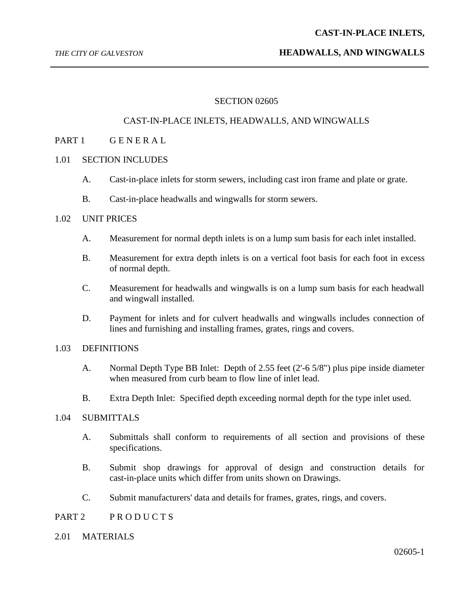#### *THE CITY OF GALVESTON* **HEADWALLS, AND WINGWALLS**

## SECTION 02605

# CAST-IN-PLACE INLETS, HEADWALLS, AND WINGWALLS

# PART 1 GENERAL

#### 1.01 SECTION INCLUDES

- A. Cast-in-place inlets for storm sewers, including cast iron frame and plate or grate.
- B. Cast-in-place headwalls and wingwalls for storm sewers.

# 1.02 UNIT PRICES

- A. Measurement for normal depth inlets is on a lump sum basis for each inlet installed.
- B. Measurement for extra depth inlets is on a vertical foot basis for each foot in excess of normal depth.
- C. Measurement for headwalls and wingwalls is on a lump sum basis for each headwall and wingwall installed.
- D. Payment for inlets and for culvert headwalls and wingwalls includes connection of lines and furnishing and installing frames, grates, rings and covers.

## 1.03 DEFINITIONS

- A. Normal Depth Type BB Inlet: Depth of 2.55 feet (2'-6 5/8") plus pipe inside diameter when measured from curb beam to flow line of inlet lead.
- B. Extra Depth Inlet: Specified depth exceeding normal depth for the type inlet used.

## 1.04 SUBMITTALS

- A. Submittals shall conform to requirements of all section and provisions of these specifications.
- B. Submit shop drawings for approval of design and construction details for cast-in-place units which differ from units shown on Drawings.
- C. Submit manufacturers' data and details for frames, grates, rings, and covers.
- PART 2 PRODUCTS
- 2.01 MATERIALS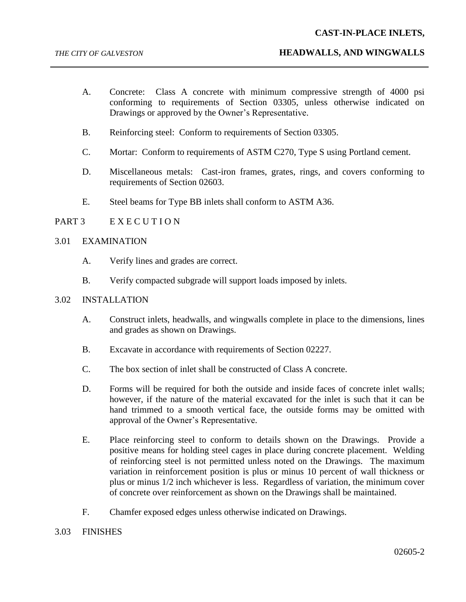## **CAST-IN-PLACE INLETS,**

- A. Concrete: Class A concrete with minimum compressive strength of 4000 psi conforming to requirements of Section 03305, unless otherwise indicated on Drawings or approved by the Owner's Representative.
- B. Reinforcing steel: Conform to requirements of Section 03305.
- C. Mortar: Conform to requirements of ASTM C270, Type S using Portland cement.
- D. Miscellaneous metals: Cast-iron frames, grates, rings, and covers conforming to requirements of Section 02603.
- E. Steel beams for Type BB inlets shall conform to ASTM A36.

# PART 3 EXECUTION

#### 3.01 EXAMINATION

- A. Verify lines and grades are correct.
- B. Verify compacted subgrade will support loads imposed by inlets.

#### 3.02 INSTALLATION

- A. Construct inlets, headwalls, and wingwalls complete in place to the dimensions, lines and grades as shown on Drawings.
- B. Excavate in accordance with requirements of Section 02227.
- C. The box section of inlet shall be constructed of Class A concrete.
- D. Forms will be required for both the outside and inside faces of concrete inlet walls; however, if the nature of the material excavated for the inlet is such that it can be hand trimmed to a smooth vertical face, the outside forms may be omitted with approval of the Owner's Representative.
- E. Place reinforcing steel to conform to details shown on the Drawings. Provide a positive means for holding steel cages in place during concrete placement. Welding of reinforcing steel is not permitted unless noted on the Drawings. The maximum variation in reinforcement position is plus or minus 10 percent of wall thickness or plus or minus 1/2 inch whichever is less. Regardless of variation, the minimum cover of concrete over reinforcement as shown on the Drawings shall be maintained.
- F. Chamfer exposed edges unless otherwise indicated on Drawings.
- 3.03 FINISHES